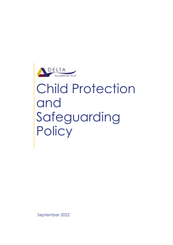

# Child Protection and Safeguarding Policy

September 2022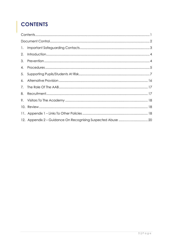# <span id="page-1-0"></span>**CONTENTS**

| $\mathbf{1}$ . |  |  |  |  |
|----------------|--|--|--|--|
| 2.             |  |  |  |  |
| 3.             |  |  |  |  |
| 4.             |  |  |  |  |
| 5.             |  |  |  |  |
| 6.             |  |  |  |  |
| 7.             |  |  |  |  |
| 8.             |  |  |  |  |
| 9.             |  |  |  |  |
|                |  |  |  |  |
|                |  |  |  |  |
|                |  |  |  |  |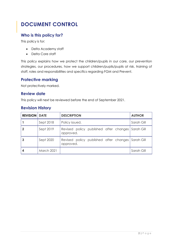# <span id="page-2-0"></span>**DOCUMENT CONTROL**

#### **Who is this policy for?**

This policy is for:

- Delta Academy staff
- Delta Core staff

This policy explains how we protect the children/pupils in our care, our prevention strategies, our procedures, how we support children/pupils/pupils at risk, training of staff, roles and responsibilities and specifics regarding FGM and Prevent.

#### **Protective marking**

Not protectively marked.

#### **Review date**

This policy will next be reviewed before the end of September 2021.

#### **Revision History**

| <b>REVISION   DATE</b> |                   | <b>DESCRIPTION</b>                                             | <b>AUTHOR</b> |
|------------------------|-------------------|----------------------------------------------------------------|---------------|
|                        | Sept 2018         | Policy issued.                                                 | Sarah Gill    |
|                        | Sept 2019         | Revised policy published after changes<br>approved.            | Sarah Gill    |
|                        | Sept 2020         | Revised policy published after changes Sarah Gill<br>approved. |               |
|                        | <b>March 2021</b> |                                                                | Sarah Gill    |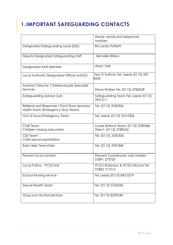# <span id="page-3-0"></span>**1.IMPORTANT SAFEGUARDING CONTACTS**

|                                                                                 | Name, email and telephone<br>number                           |
|---------------------------------------------------------------------------------|---------------------------------------------------------------|
| Designated Safeguarding Lead (DSL)                                              | Riccardo Paffetti                                             |
| Deputy Designated Safeguarding staff                                            | Michelle Wilson                                               |
| Designated AAB Member                                                           | <b>Alaric Hall</b>                                            |
| Local Authority Designated Officer (LADO)                                       | Ted O'Sullivan Tel: Leeds (0113) 247<br>8652                  |
| Assistant Director, Children/pupils Specialist<br>Services                      | Steve Walker Tel: (0113) 3783628                              |
| Safeguarding Advisor (LA)                                                       | Safeguarding Team Tel: Leeds (0113)<br>3951211                |
| Referral and Response / Front Door services/<br>MASH Team (Emergency Duty Team) | Tel: (0113) 3760336                                           |
| Out of hours Emergency Team                                                     | Tel: Leeds (0113) 376 0336                                    |
| <b>CME</b> Team<br>Children missing education                                   | Louise Bullock Team: (0113) 3789686<br>Direct: (0113) 3789652 |
| <b>CSE Team</b><br>Child sexual exploitation                                    | Tel: (0113) 3760336                                           |
| Early Help Team/Hub                                                             | Tel: (0113) 3781840                                           |
| Prevent local contact                                                           | Prevent Coordinator Julia Holden<br>07891 273720              |
| Local Police - PCSO link                                                        | PCSO Robinson & PCSO Nichols Tel:<br>07802 717215             |
| <b>School Nursing service</b>                                                   | Tel: Leeds (0113) 843 5219                                    |
| Sexual Health Team                                                              | Tel: (0113) 3760336                                           |
| Drug and alcohol services                                                       | Tel: (0113) 8559540                                           |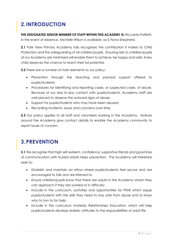# <span id="page-4-0"></span>**2.INTRODUCTION**

**THE DESIGNATED SENIOR MEMBER OF STAFF WITHIN THIS ACADEMY IS:** Riccardo Paffetti. In the event of absence, Michelle Wilson is available, as is Fiona Shepherd.

**2.1** Park View Primary Academy fully recognises the contribution it makes to Child Protection and the safeguarding of all children/pupils. Ensuring risks to children/pupils at our Academy are minimised will enable them to achieve, be happy and safe. Every child deserves the chance to reach their full potential.

**2.2** There are a number of main elements to our policy:

- Prevention through the teaching and pastoral support offered to pupils/students;
- Procedures for identifying and reporting cases, or suspected cases, of abuse. Because of our day-to-day contact with pupils/students, Academy staff are well placed to observe the outward signs of abuse;
- Support for pupils/students who may have been abused;
- Recording incidents, issues and concerns over time.

**2.3** Our policy applies to all staff and volunteers working in the Academy. Notices around the Academy give contact details to enable the Academy community to report issues of concern.

# <span id="page-4-1"></span>**3.PREVENTION**

**3.1** We recognise that high self-esteem, confidence, supportive friends and good lines of communication with trusted adults helps prevention. The Academy will therefore seek to:

- Establish and maintain an ethos where pupils/students feel secure and are encouraged to talk and are listened to;
- Ensure children/pupils know that there are adults in the Academy whom they can approach if they are worried or in difficulty;
- Include in the curriculum, activities and opportunities for PSHE which equip pupils/students with the skills they need to stay safe from abuse and to know who to turn to for help;
- Include in the curriculum material, Relationships Education, which will help pupils/students develop realistic attitudes to the responsibilities of adult life.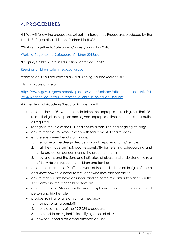## <span id="page-5-0"></span>**4.PROCEDURES**

**4.1** We will follow the procedures set out in Interagency Procedures produced by the Leeds Safeguarding Childrens Partnership (LSCB)

'Working Together to Safeguard Children/pupils July 2018'

Working Together to Safeguard Children-2018.pdf

'Keeping Children Safe in Education September 2020'

Keeping children safe in education.pdf

'What to do if You are Worried a Child is being Abused March 2015'

also available online at

[https://www.gov.uk/government/uploads/system/uploads/attachment\\_data/file/41](https://www.gov.uk/government/uploads/system/uploads/attachment_data/file/419604/What_to_do_if_you_re_worried_a_child_is_being_abused.pdf) [9604/What\\_to\\_do\\_if\\_you\\_re\\_worried\\_a\\_child\\_is\\_being\\_abused.pdf](https://www.gov.uk/government/uploads/system/uploads/attachment_data/file/419604/What_to_do_if_you_re_worried_a_child_is_being_abused.pdf)

**4.2** The Head of Academy/Head of Academy will:

- ensure it has a DSL who has undertaken the appropriate training, has their DSL role in their job description and is given appropriate time to conduct their duties as required;
- recognise the role of the DSL and ensure supervision and ongoing training;
- ensure that the DSL works closely with senior mental health leads;
- ensure every member of staff knows:
	- 1. the name of the designated person and deputies and his/her role;
	- 2. that they have an individual responsibility for referring safeguarding and child protection concerns using the proper channels;
	- 3. they understand the signs and indicators of abuse and understand the role of Early Help in supporting children and families.
- ensure that members of staff are aware of the need to be alert to signs of abuse and know how to respond to a student who may disclose abuse;
- ensure that parents have an understanding of the responsibility placed on the Academy and staff for child protection;
- ensure that pupils/students in the Academy know the name of the designated person and his/ her role;
- provide training for all staff so that they know:
	- 1. their personal responsibility;
	- 2. the relevant parts of the [XXSCP] procedures;
	- 3. the need to be vigilant in identifying cases of abuse;
	- 4. how to support a child who discloses abuse;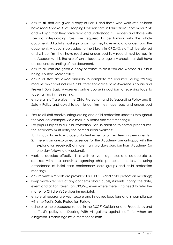- ensure **all** staff are given a copy of Part 1 and those who work with children have read Annexe A of 'Keeping Children Safe in Education' September 2020 and will sign that they have read and understood it. Leaders and those with specific safeguarding roles are required to be familiar with the whole document. All adults must sign to say that they have read and understood the document. A copy is uploaded to the Library in CPOMS, staff will be alerted and will confirm they have read and understood it. A record must be kept in the Academy. It is the role of senior leaders to regularly check that staff have a clear understanding of the document.
- ensure all staff are given a copy of 'What to do if You are Worried a Child is being Abused' March 2015;
- ensue all staff are asked annually to complete the required Edulog training modules which will include Child Protection online Basic Awareness course and Prevent Duty Basic Awareness online course in addition to receiving face to face training in their setting.
- ensure all staff are given the Child Protection and Safeguarding Policy and E-Safety Policy and asked to sign to confirm they have read and understood them.
- Ensure all staff receive safeguarding and child protection updates throughout the year (for example, via e mail, e-bulletins and staff meetings)
- For pupils subject to a Child Protection Plan, in addition to normal procedures, the Academy must notify the named social worker if:
	- 1. it should have to exclude a student either for a fixed term or permanently;
	- 2. there is an unexplained absence (or the Academy are unhappy with the explanation received) of more than two days duration from Academy (or one day following a weekend).
- work to develop effective links with relevant agencies and co-operate as required with their enquiries regarding child protection matters, including attendance at initial case conferences core groups and child protection meetings;
- ensure written reports are provided for ICPCC's and child protection meetings;
- keep written records of any concerns about pupils/students (noting the date, event and action taken) on CPOMS, even where there is no need to refer the matter to Children's Services immediately;
- ensure all records are kept secure and in locked locations and in compliance with the Trust's Data Protection Policy;
- adhere to the procedures set out in the [LSCP] Guidelines and Procedures and the Trust's policy on 'Dealing With Allegations against staff' for when an allegation is made against a member of staff;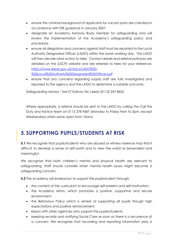- ensure the criminal background of applicants for vacant posts are checked in accordance with DfE guidance in January 2007;
- designate an Academy Advisory Body member for safeguarding who will review the implementation of the Academy's safeguarding policy and procedure.
- ensure all allegations and concerns against staff must be reported to the Local Authority Designated Officer (LADO) within the same working day. The LADO will then decide what action to take. Contact details and referral pathway are detailed on the [LSCP] website and are referred to here for your reference: [https://www.leeds.gov.uk/docs/LADO%20-](https://www.leeds.gov.uk/docs/LADO%20-%20Local%20Authority%20Designated%20Officer.pdf) [%20Local%20Authority%20Designated%20Officer.pdf](https://www.leeds.gov.uk/docs/LADO%20-%20Local%20Authority%20Designated%20Officer.pdf)
- ensure that any concerns regarding supply staff are fully investigated and reported to the agency and the LADO to determine a suitable outcome.

Safeguarding advisor : Ted O'Sullivan Tel, Leeds (0113) 247 8652

Where appropriate, a referral should be sent to the LADO by calling the Call the Duty and Advice team on 0113 378 9687 (Monday to Friday 9am to 5pm, except Wednesdays when we're open from 10am)

### <span id="page-7-0"></span>**5. SUPPORTING PUPILS/STUDENTS AT RISK**

**5.1** We recognise that pupils/students who are abused or witness violence may find it difficult to develop a sense of self-worth and to view the world as benevolent and meaningful.

We recognise that both children's mental and physical health are relevant to safeguarding. Staff should consider when mental health issues might become a safeguarding concern.

**5.2** The Academy will endeavour to support the pupil/student through:

- the content of the curriculum to encourage self-esteem and self-motivation;
- the Academy ethos, which promotes a positive, supportive and secure environment;
- the Behaviour Policy which is aimed at supporting all pupils though high expectations and positive reinforcement;
- liaison with other agencies who support the pupils/students;
- keeping records and notifying Social Care as soon as there is a recurrence of a concern. We recognise that recording and reporting information play a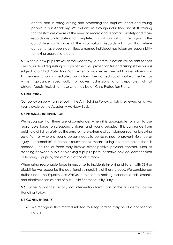central part in safeguarding and protecting the pupils/students and young people in our Academy. We will ensure through induction and staff training that all staff are aware of the need to record and report accurately and those records are up to date and complete. This will support us in recognising the cumulative significance of the information. Records will show that where concerns have been identified, a named individual has taken on responsibility for taking appropriate action.

**5.3** When a new pupil arrives at the Academy, a communication will be sent to their previous school requesting a copy of the child protection file and asking if the pupil is subject to a Child Protection Plan. When a pupil leaves, we will transfer information to the new school immediately and inform the named social worker. The LA has written guidance specifically to cover admissions and departures of all children/pupils, including those who may be on Child Protection Plans.

#### **5.4 BULLYING**

Our policy on bullying is set out in the Anti-Bullying Policy, which is reviewed on a two yearly cycle by the Academy Advisory Body.

#### **5.5 PHYSICAL INTERVENTION**

We recognize that there are circumstances when it is appropriate for staff to use reasonable force to safeguard children and young people. This can range from guiding a child to safety by the arm, to more extreme circumstances such as breaking up a fight or where a young person needs to be restrained to prevent violence or injury. 'Reasonable' in these circumstances means 'using no more force than is needed'. The use of force may involve either passive physical contact, such as standing between pupils or blocking a pupil's path, or active physical contact such as leading a pupil by the arm out of the classroom.

When using reasonable force in response to incidents involving children with SEN or disabilities we recognise the additional vulnerability of these groups. We consider our duties under the Equality Act 201036 in relation to making reasonable adjustments, non-discrimination as part of our Public Sector Equality Duty.

**5.6** Further Guidance on physical intervention forms part of the academy Positive Handling Policy.

#### **5.7 CONFIDENTIALITY**

• We recognise that matters related to safeguarding may be of a confidential nature.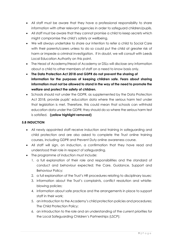- All staff must be aware that they have a professional responsibility to share information with other relevant agencies in order to safeguard children/pupils.
- All staff must be aware that they cannot promise a child to keep secrets which might compromise the child's safety or wellbeing.
- We will always undertake to share our intention to refer a child to Social Care with their parents/carers unless to do so could put the child at greater risk of harm or impede a criminal investigation. If in doubt, we will consult with Leeds Local Education Authority on this point.
- The Head of Academy/Head of Academy or DSLs will disclose any information about a child to other members of staff on a need to know basis only.
- **The Data Protection Act 2018 and GDPR do not prevent the sharing of information for the purposes of keeping children safe. Fears about sharing information must not be allowed to stand in the way of the need to promote the welfare and protect the safety of children.**
- Schools should not under the GDPR, as supplemented by the Data Protection Act 2018, provide pupils' education data where the serious harm test under that legislation is met. Therefore, this could mean that schools can withhold education data under the GDPR; they should do so where the serious harm test is satisfied. **(yellow highlight removed)**

#### **5.8 INDUCTION**

- All newly appointed staff receive induction and training in safeguarding and child protection and are also asked to complete the Trust online training courses, including GDPR and Prevent Duty online awareness course.
- All staff will sign, on induction, a confirmation that they have read and understood their role in respect of safeguarding.
- The programme of induction must include:
	- 1. a full explanation of their role and responsibilities and the standard of conduct and behaviour expected; the Care, Guidance, Support and Behaviour Policy;
	- 2. a full explanation of the Trust's HR procedures relating to disciplinary issues;
	- 3. information about the Trust's complaints, conflict resolution and whistleblowing policies;
	- 4. information about safe practice and the arrangements in place to support staff in their work;
	- 5. an introduction to the Academy's child protection policies and procedures; The Child Protection Policy;
	- 6. an introduction to the role and an understanding of the current priorities for the Local Safeguarding Children's Partnerships (LSCP);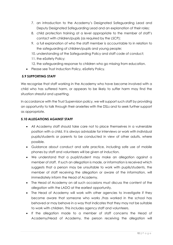- 7. an introduction to the Academy's Designated Safeguarding Lead and Deputy Designated Safeguarding Lead and an explanation of their roles;
- 8. child protection training at a level appropriate to the member of staff's contact with children/pupils (as required by the LSCP);
- 9. a full explanation of who the staff member is accountable to in relation to the safeguarding of children/pupils and young people;
- 10. understanding of the Safeguarding Policy and staff code of conduct;
- 11. the eSafety Policy;
- 12. the safeguarding response to children who go missing from education.
- Please see Trust Induction Policy, eSafety Policy.

#### **5.9 SUPPORTING STAFF**

We recognise that staff working in the Academy who have become involved with a child who has suffered harm, or appears to be likely to suffer harm may find the situation stressful and upsetting.

In accordance with the Trust Supervision policy, we will support such staff by providing an opportunity to talk through their anxieties with the DSLs and to seek further support as appropriate.

#### **5.10 ALLEGATIONS AGAINST STAFF**

- All Academy staff should take care not to place themselves in a vulnerable position with a child. It is always advisable for interviews or work with individual pupils/students or parents to be conducted in view of other adults, where possible.
- Guidance about conduct and safe practice, including safe use of mobile phones by staff and volunteers will be given at induction.
- We understand that a pupil/student may make an allegation against a member of staff. If such an allegation is made, or information is received which suggests that a person may be unsuitable to work with pupils/students, the member of staff receiving the allegation or aware of the information, will immediately inform the Head of Academy.
- The Head of Academy on all such occasions must discuss the content of the allegation with the LADO at the earliest opportunity.
- The Head of Academy will work with other agencies to investigate if they become aware that someone who works /has worked in the school has behaved or may behave in a way that indicates that they may not be suitable to work with children. This includes agency staff and volunteers.
- If the allegation made to a member of staff concerns the Head of Academy/Head of Academy, the person receiving the allegation will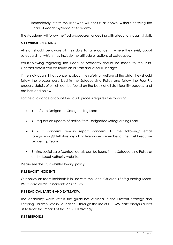immediately inform the Trust who will consult as above, without notifying the Head of Academy/Head of Academy.

The Academy will follow the Trust procedures for dealing with allegations against staff.

#### **5.11 WHISTLE-BLOWING**

All staff should be aware of their duty to raise concerns, where they exist, about safeguarding, which may include the attitude or actions of colleagues.

Whistleblowing regarding the Head of Academy should be made to the Trust. Contact details can be found on all staff and visitor ID badges.

If the individual still has concerns about the safety or welfare of the child, they should follow the process described in the Safeguarding Policy and follow the Four R's process, details of which can be found on the back of all staff identity badges, and are included below.

For the avoidance of doubt the Four R process requires the following:

- **R –** refer to Designated Safeguarding Lead
- **R –** request an update of action from Designated Safeguarding Lead
- **R –** if concerns remain report concerns to the following: email safeguarding@deltatrust.org.uk or telephone a member of the Trust Executive Leadership Team
- **R –** ring social care (contact details can be found in the Safeguarding Policy or on the Local Authority website.

Please see the Trust whistleblowing policy.

#### **5.12 RACIST INCIDENTS**

Our policy on racist incidents is in line with the Local Children's Safeguarding Board. We record all racist incidents on CPOMS.

#### **5.13 RADICALISATION AND EXTREMISM**

The Academy works within the guidelines outlined in the Prevent Strategy and Keeping Children Safe in Education. Through the use of CPOMS, data analysis allows us to track the impact of the PREVENT strategy.

#### **5.14 RESPONSE**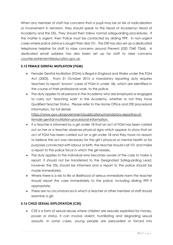When any member of staff has concerns that a pupil may be at risk of radicalisation or involvement in terrorism, they should speak to the Head of Academy/ Head of Academy and the DSL. They should then follow normal safeguarding procedures. If the matter is urgent, then Police must be contacted by dialing 999. In non-urgent cases where police advice is sought then dial 101. The DfE has also set up a dedicated telephone helpline for staff to raise concerns around Prevent (020 7340 7264). A dedicated email address has also been set up for staff to raise concerns counter.extremism@education.gov.uk.

#### **5.15 FEMALE GENITAL MUTILATION (FGM)**

- Female Genital Mutilation (FGM) is illegal in England and Wales under the FGM Act (2003). From 31 October 2015 a mandatory reporting duty requires teachers to report 'known' cases of FGM in under 18s, which are identified in the course of their professional work, to the police.
- The duty applies to all persons in the Academy who are employed or engaged to carry out 'teaching work' in the Academy, whether or not they have Qualified Teacher Status. Please refer to the Home Office and DfE procedural information, for full details

https://www.gov.uk/government/publications/mandatory-reporting-offemale-genital-mutilation-procedural-information.

- If a teacher is informed by a girl under 18 that an act of FGM has been carried out on her or a teacher observes physical signs which appear to show that an act of FGM has been carried out on a girl under 18 and they have no reason to believe the act was necessary for the girl's physical or mental health or for purposes connected with labour or birth, the teacher should call 101 and make a report to the police force in which the girl resides.
- The duty applies to the individual who becomes aware of the case to make a report. It should not be transferred to the Designated Safeguarding Lead, however the DSL should be informed and a report to the police should be made immediately.
- Where there is a risk to life or likelihood of serious immediate harm the teacher should report the case immediately to the police, including dialing 999 if appropriate.
- There are no circumstances in which a teacher or other member of staff should examine a girl.

#### **5.16 CHILD SEXUAL EXPLOITATION (CSE)**

• CSE is a form of sexual abuse where children are sexually exploited for money, power or status. It can involve violent, humiliating and degrading sexual assaults. In some cases, young people are persuaded or forced into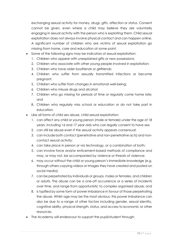exchanging sexual activity for money, drugs, gifts, affection or status. Consent cannot be given, even where a child may believe they are voluntarily engaging in sexual activity with the person who is exploiting them. Child sexual exploitation does not always involve physical contact and can happen online. A significant number of children who are victims of sexual exploitation go missing from home, care and education at some point.

- Some of the following signs may be indicators of sexual exploitation:
	- 1. Children who appear with unexplained gifts or new possessions;
	- 2. Children who associate with other young people involved in exploitation;
	- 3. Children who have older boyfriends or girlfriends;
	- 4. Children who suffer from sexually transmitted infections or become pregnant;
	- 5. Children who suffer from changes in emotional well-being;
	- 6. Children who misuse drugs and alcohol;
	- 7. Children who go missing for periods of time or regularly come home late; and
	- 8. Children who regularly miss school or education or do not take part in education.
- Like all forms of child sex abuse, child sexual exploitation:
	- 1. can affect any child or young person (male or female) under the age of 18 years, including 16 and 17 year olds who can legally consent to have sex;
	- 2. can still be abuse even if the sexual activity appears consensual;
	- 3. can include both contact (penetrative and non-penetrative acts) and noncontact sexual activity;
	- 4. can take place in person or via technology, or a combination of both;
	- 5. can involve force and/or enticement-based methods of compliance and may, or may not, be accompanied by violence or threats of violence;
	- 6. may occur without the child or young person's immediate knowledge (e.g. through others copying videos or images they have created and posted on social media);
	- 7. can be perpetrated by individuals or groups, males or females, and children or adults. The abuse can be a one-off occurrence or a series of incidents over time, and range from opportunistic to complex organised abuse; and
	- 8. is typified by some form of power imbalance in favour of those perpetrating the abuse. Whilst age may be the most obvious, this power imbalance can also be due to a range of other factors including gender, sexual identity, cognitive ability, physical strength, status, and access to economic or other resources.
- The Academy will endeavour to support the pupil/student through: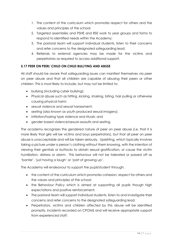- 1. The content of the curriculum which promotes respect for others and the values and principles of the school;
- 2. Targeted assemblies and PSHE and RSE work to year groups and forms to respond to identified needs within the Academy;
- 3. The pastoral team will support individual students, listen to their concerns and refer concerns to the designated safeguarding lead;
- 4. Referrals to external agencies may be made for the victims and perpetrators as required to access additional support.

#### **5.17 PEER ON PEER/ CHILD ON CHILD BULLYING AND ABUSE**

All staff should be aware that safeguarding issues can manifest themselves via peer on peer abuse and that all children are capable of abusing their peers or other children. This is most likely to include, but may not be limited to:

- bullying (including cyber bullying);
- Physical abuse such as hitting ,kicking, shaking, biting, hair pulling or otherwise causing physical harm;
- sexual violence and sexual harassment;
- sexting (also known as youth produced sexual imagery);
- initiation/hazing type violence and rituals; and
- gender based violence/sexual assaults and sexting.

The academy recognizes the gendered nature of peer on peer abuse (i.e. that it is more likely that girls will be victims and boys perpetrators), but that all peer on peer abuse is unacceptable and will be taken seriously. Upskirting, which typically involves taking a picture under a person's clothing without them knowing, with the intention of viewing their genitals or buttocks to obtain sexual gratification, or cause the victim humiliation, distress or alarm. This behaviour will not be tolerated or passed off as 'banter', 'just having a laugh' or 'part of growing up'.

The Academy will endeavour to support the pupil/student through:

- the content of the curriculum which promotes cohesion, respect for others and the values and principles of the school;
- the Behaviour Policy which is aimed at supporting all pupils though high expectations and positive reinforcement;
- The pastoral team will support individual students, listen to and investigate their concerns and refer concerns to the designated safeguarding lead;
- Perpetrators, victims and children affected by this abuse will be identified promptly, incidents recorded on CPOMS and will receive appropriate support from experienced staff;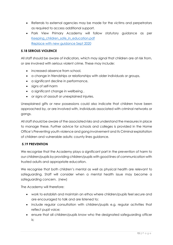- Referrals to external agencies may be made for the victims and perpetrators as required to access additional support.
- Park View Primary Academy will follow statutory guidance as per Keeping children safe in education.pdf Replace with new guidance Sept 2020

#### **5.18 SERIOUS VIOLENCE**

All staff should be aware of indicators, which may signal that children are at risk from, or are involved with serious violent crime. These may include:

- increased absence from school,
- a change in friendships or relationships with older individuals or groups,
- a significant decline in performance,
- signs of self-harm
- a significant change in wellbeing ,
- or signs of assault or unexplained injuries.

Unexplained gifts or new possessions could also indicate that children have been approached by, or are involved with, individuals associated with criminal networks or gangs.

All staff should be aware of the associated risks and understand the measures in place to manage these. Further advice for schools and colleges is provided in the Home Office's Preventing youth violence and gang involvement and its Criminal exploitation of children and vulnerable adults: county lines guidance.

#### **5.19 PREVENTION**

We recognise that the Academy plays a significant part in the prevention of harm to our children/pupils by providing children/pupils with good lines of communication with trusted adults and appropriate education.

We recognise that both children's mental as well as physical health are relevant to safeguarding. Staff will consider when a mental health issue may become a safeguarding concern. (new)

The Academy will therefore:

- work to establish and maintain an ethos where children/pupils feel secure and are encouraged to talk and are listened to;
- include regular consultation with children/pupils e.g. regular activities that reflect pupil voice;
- ensure that all children/pupils know who the designated safeguarding officer is;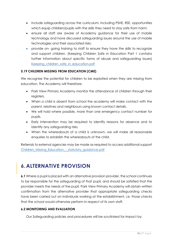- include safeguarding across the curriculum, including PSHE, RSE, opportunities which equip children/pupils with the skills they need to stay safe from harm;
- ensure all staff are aware of Academy guidance for their use of mobile technology and have discussed safeguarding issues around the use of mobile technologies and their associated risks;
- provide on- going training to staff to ensure they have the skills to recognize and support children. (Keeping Children Safe in Education Part 1 contains further information about specific forms of abuse and safeguarding issues) Keeping children safe in education.pdf

#### **5.19 CHILDREN MISSING FROM EDUCATION (CME)**

We recognise the potential for children to be exploited when they are missing from education. The Academy will therefore;

- Park View Primary Academy monitor the attendance of children through their registers.
- When a child is absent from school the academy will make contact with the parent, relatives and neighbours using known contact details.
- We will hold where possible, more than one emergency contact number for pupils.
- Early intervention may be required to identify reasons for absence and to identify any safeguarding risks.
- When the whereabouts of a child is unknown, we will make all reasonable enquiries to establish the whereabouts of the child.

Referrals to external agencies may be made as required to access additional support [Children\\_Missing\\_Education\\_-\\_statutory\\_guidance.pdf](file:///C:/Users/dmcguire/AppData/Local/Microsoft/Windows/INetCache/Content.Outlook/UDQG9YM0/Children_Missing_Education_-_statutory_guidance.pdf)

### <span id="page-16-0"></span>**6.ALTERNATIVE PROVISION**

**6.1** Where a pupil is placed with an alternative provision provider, the school continues to be responsible for the safeguarding of that pupil, and should be satisfied that the provider meets the needs of the pupil. Park View Primary Academy will obtain written confirmation from the alternative provider that appropriate safeguarding checks have been carried out on individuals working at the establishment, i.e. those checks that the school would otherwise perform in respect of its own staff.

#### **6.2 MONITORING AND EVALUATION**

Our Safeguarding policies and procedures will be scrutinised for impact by: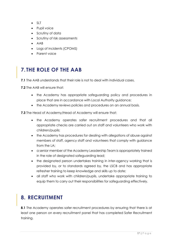- SLT
- Pupil voice
- Scrutiny of data
- Scrutiny of risk assessments
- AAB
- Logs of incidents (CPOMS)
- Parent voice

# <span id="page-17-0"></span>**7. THE ROLE OF THE AAB**

**7.1** The AAB understands that their role is not to deal with individual cases.

**7.2** The AAB will ensure that:

- the Academy has appropriate safeguarding policy and procedures in place that are in accordance with Local Authority guidance;
- the Academy reviews policies and procedures on an annual basis.

**7.3** The Head of Academy/Head of Academy will ensure that:

- the Academy operates safer recruitment procedures and that all appropriate checks are carried out on staff and volunteers who work with children/pupils;
- the Academy has procedures for dealing with allegations of abuse against members of staff, agency staff and volunteers that comply with guidance from the LA;
- a senior member of the Academy Leadership Team is appropriately trained in the role of designated safeguarding lead;
- the designated person undertakes training in inter-agency working that is provided by, or to standards agreed by, the LSCB and has appropriate refresher training to keep knowledge and skills up to date;
- all staff who work with children/pupils, undertake appropriate training to equip them to carry out their responsibilities for safeguarding effectively.

# <span id="page-17-1"></span>**8. RECRUITMENT**

**8.1** The Academy operates safer recruitment procedures by ensuring that there is at least one person on every recruitment panel that has completed Safer Recruitment training.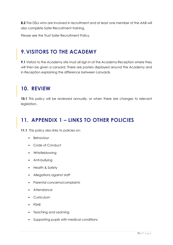**8.2** The DSLs who are involved in recruitment and at least one member of the AAB will also complete Safer Recruitment training.

Please see the Trust Safer Recruitment Policy.

### <span id="page-18-0"></span>**9.VISITORS TO THE ACADEMY**

**9.1** Visitors to the Academy site must all sign in at the Academy Reception where they will then be given a Lanyard. There are posters displayed around the Academy and in Reception explaining the difference between Lanyards.

### <span id="page-18-1"></span>**10. REVIEW**

**10.1** This policy will be reviewed annually, or when there are changes to relevant legislation.

### <span id="page-18-2"></span>**11. APPENDIX 1 – LINKS TO OTHER POLICIES**

11.1 This policy also links to policies on:

- Behaviour
- Code of Conduct
- Whistleblowing
- Anti-bullying
- Health & Safety
- Allegations against staff
- Parental concerns/complaints
- Attendance
- Curriculum
- PSHE
- Teaching and Learning
- Supporting pupils with medical conditions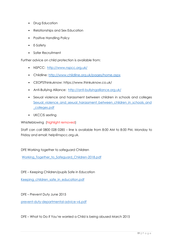- Drug Education
- Relationships and Sex Education
- Positive Handling Policy
- E-Safety
- Safer Recruitment

Further advice on child protection is available from:

- NSPCC: <http://www.nspcc.org.uk/>
- Childline:<http://www.childline.org.uk/pages/home.aspx>
- CEOPSThinkuknow: https://www.thinkuknow.co.uk/
- Anti-Bullying Alliance: <http://anti-bullyingalliance.org.uk/>
- Sexual violence and harassment between children in schools and colleges Sexual violence and sexual harassment between children in schools and [\\_colleges.pdf](file:///C:/Users/dmcguire/AppData/Local/Microsoft/Windows/INetCache/Content.Outlook/UDQG9YM0/Sexual_violence_and_sexual_harassment_between_children_in_schools_and_colleges.pdf)
- UKCCIS sexting

Whistleblowing (highlight removed)

Staff can call 0800 028 0285 – line is available from 8:00 AM to 8:00 PM, Monday to Friday and email: help@nspcc.org.uk.

DFE Working together to safeguard Children

[Working\\_Together\\_to\\_Safeguard\\_Children-2018.pdf](file:///C:/Users/dmcguire/AppData/Local/Microsoft/Windows/INetCache/Content.Outlook/UDQG9YM0/Working_Together_to_Safeguard_Children-2018.pdf)

DFE – Keeping Children/pupils Safe in Education

Keeping children safe in education.pdf

DFE – Prevent Duty June 2015

[prevent-duty-departmental-advice-v6.pdf](file:///C:/Users/dmcguire/AppData/Local/Microsoft/Windows/INetCache/Content.Outlook/UDQG9YM0/prevent-duty-departmental-advice-v6.pdf)

DFE – What to Do if You're worried a Child is being abused March 2015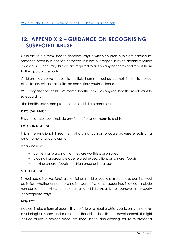### <span id="page-20-0"></span>**12. APPENDIX 2 – GUIDANCE ON RECOGNISING SUSPECTED ABUSE**

Child abuse is a term used to describe ways in which children/pupils are harmed by someone often in a position of power. It is not our responsibility to decide whether child abuse is occurring but we are required to act on any concerns and report them to the appropriate party.

Children may be vulnerable to multiple harms including, but not limited to, sexual exploitation, criminal exploitation and serious youth violence.

We recognise that children's mental health as well as physical health are relevant to safeguarding.

The health, safety and protection of a child are paramount.

#### **PHYSICAL ABUSE**

Physical abuse could include any form of physical harm to a child.

#### **EMOTIONAL ABUSE**

This is the emotional ill treatment of a child such as to cause adverse effects on a child's emotional development.

It can include:

- conveying to a child that they are worthless or unloved
- placing inappropriate age-related expectations on children/pupils
- making children/pupils feel frightened or in danger

#### **SEXUAL ABUSE**

Sexual abuse involves forcing or enticing a child or young person to take part in sexual activities, whether or not the child is aware of what is happening. They can include non-contact activities or encouraging children/pupils to behave in sexually inappropriate ways.

#### **NEGLECT**

Neglect is also a form of abuse. It is the failure to meet a child's basic physical and/or psychological needs and may affect the child's health and development. It might include failure to provide adequate food, shelter and clothing, failure to protect a